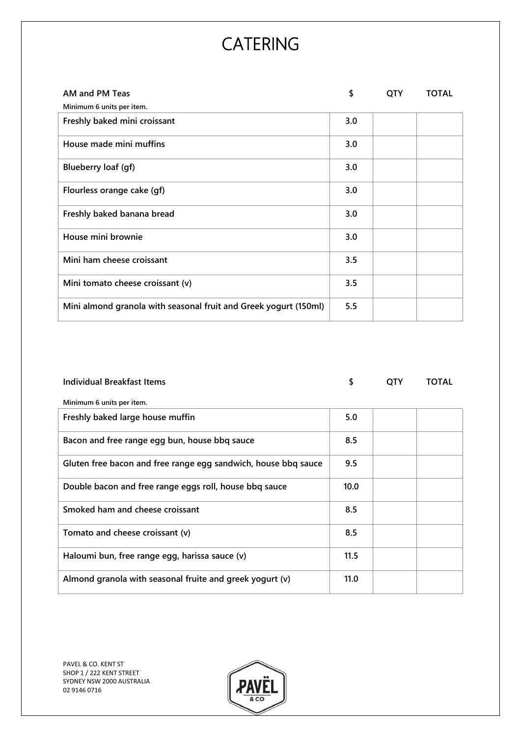| AM and PM Teas                                                   | \$  | <b>QTY</b> | <b>TOTAL</b> |
|------------------------------------------------------------------|-----|------------|--------------|
| Minimum 6 units per item.                                        |     |            |              |
| Freshly baked mini croissant                                     | 3.0 |            |              |
| House made mini muffins                                          | 3.0 |            |              |
| Blueberry loaf (gf)                                              | 3.0 |            |              |
| Flourless orange cake (gf)                                       | 3.0 |            |              |
| Freshly baked banana bread                                       | 3.0 |            |              |
| House mini brownie                                               | 3.0 |            |              |
| Mini ham cheese croissant                                        | 3.5 |            |              |
| Mini tomato cheese croissant (v)                                 | 3.5 |            |              |
| Mini almond granola with seasonal fruit and Greek yogurt (150ml) | 5.5 |            |              |
|                                                                  |     |            |              |

| <b>Individual Breakfast Items</b>                              | \$   | QTY | <b>TOTAL</b> |
|----------------------------------------------------------------|------|-----|--------------|
| Minimum 6 units per item.                                      |      |     |              |
| Freshly baked large house muffin                               | 5.0  |     |              |
| Bacon and free range egg bun, house bbq sauce                  | 8.5  |     |              |
| Gluten free bacon and free range egg sandwich, house bbq sauce | 9.5  |     |              |
| Double bacon and free range eggs roll, house bbq sauce         | 10.0 |     |              |
| Smoked ham and cheese croissant                                | 8.5  |     |              |
| Tomato and cheese croissant (v)                                | 8.5  |     |              |
| Haloumi bun, free range egg, harissa sauce (v)                 | 11.5 |     |              |
| Almond granola with seasonal fruite and greek yogurt (v)       | 11.0 |     |              |

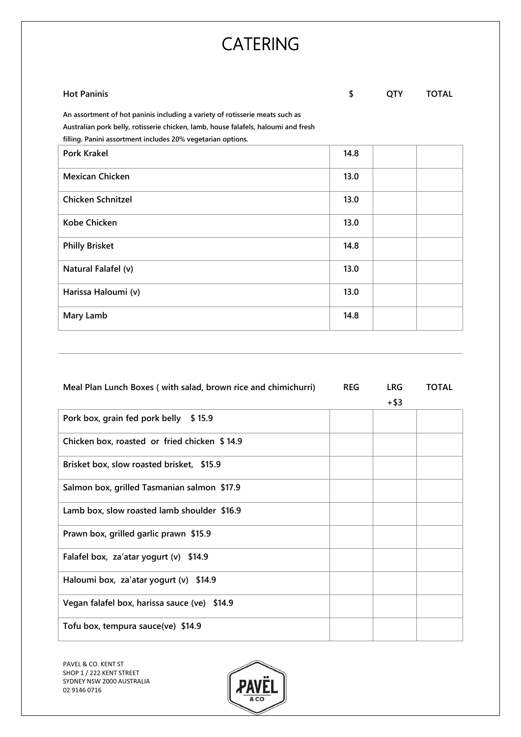### **Hot Paninis**

**An assortment of hot paninis including a variety of rotisserie meats such as Australian pork belly, rotisserie chicken, lamb, house falafels, haloumi and fresh filling. Paninis**<br> **An assortment of hot paninis including a variety of rotisserie meats such as<br>
Australian pork belly, rotisserie chicken, lamb, house falafels, haloumi and fresh<br>
<b>filling. Panini assortment includes** 

| <b>Pork Krakel</b>       | 14.8 |  |
|--------------------------|------|--|
| <b>Mexican Chicken</b>   | 13.0 |  |
| <b>Chicken Schnitzel</b> | 13.0 |  |
| <b>Kobe Chicken</b>      | 13.0 |  |
| <b>Philly Brisket</b>    | 14.8 |  |
| Natural Falafel (v)      | 13.0 |  |
| Harissa Haloumi (v)      | 13.0 |  |
| Mary Lamb                | 14.8 |  |

| Meal Plan Lunch Boxes (with salad, brown rice and chimichurri) | <b>REG</b> | <b>LRG</b> | <b>TOTAL</b> |
|----------------------------------------------------------------|------------|------------|--------------|
|                                                                |            | $+$ \$3    |              |
| Pork box, grain fed pork belly \$15.9                          |            |            |              |
| Chicken box, roasted or fried chicken \$14.9                   |            |            |              |
| Brisket box, slow roasted brisket, \$15.9                      |            |            |              |
| Salmon box, grilled Tasmanian salmon \$17.9                    |            |            |              |
| Lamb box, slow roasted lamb shoulder \$16.9                    |            |            |              |
| Prawn box, grilled garlic prawn \$15.9                         |            |            |              |
| Falafel box, za'atar yogurt (v) \$14.9                         |            |            |              |
| Haloumi box, za'atar yogurt (v) \$14.9                         |            |            |              |
| Vegan falafel box, harissa sauce (ve) \$14.9                   |            |            |              |
| Tofu box, tempura sauce(ve) \$14.9                             |            |            |              |
|                                                                |            |            |              |

PAVEL & CO. KENT ST SHOP 1 / 222 KENT STREET SYDNEY NSW 2000 AUSTRALIA  $\parallel$  PAVE 02 9146 0716

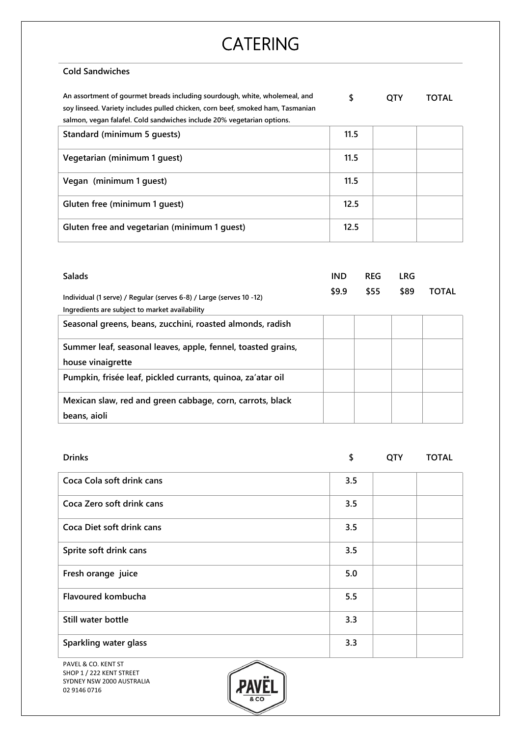#### **Cold Sandwiches**

**An assortment of gourmet breads including sourdough, white, wholemeal, and soy linseed. Variety includes pulled chicken, corn beef, smoked ham, Tasmanian salmon, vegan falafel. Cold sandwiches include 20% vegetarian options. \$ QTY TOTAL**

| samion, vegan raiarei. Cola sanuviches include 2070 vegetaman options. |      |  |
|------------------------------------------------------------------------|------|--|
| Standard (minimum 5 quests)                                            | 11.5 |  |
| Vegetarian (minimum 1 quest)                                           | 11.5 |  |
| Vegan (minimum 1 quest)                                                | 11.5 |  |
| Gluten free (minimum 1 guest)                                          | 12.5 |  |
| Gluten free and vegetarian (minimum 1 guest)                           | 12.5 |  |

| <b>Salads</b>                                                                                                         | <b>IND</b> | <b>REG</b> | LRG  |              |  |
|-----------------------------------------------------------------------------------------------------------------------|------------|------------|------|--------------|--|
| Individual (1 serve) / Regular (serves 6-8) / Large (serves 10 -12)<br>Ingredients are subject to market availability | \$9.9      | \$55       | \$89 | <b>TOTAL</b> |  |
| Seasonal greens, beans, zucchini, roasted almonds, radish                                                             |            |            |      |              |  |
| Summer leaf, seasonal leaves, apple, fennel, toasted grains,                                                          |            |            |      |              |  |
| house vinaigrette                                                                                                     |            |            |      |              |  |
| Pumpkin, frisée leaf, pickled currants, quinoa, za'atar oil                                                           |            |            |      |              |  |
| Mexican slaw, red and green cabbage, corn, carrots, black                                                             |            |            |      |              |  |
| beans, aioli                                                                                                          |            |            |      |              |  |

| <b>Drinks</b>                                   | \$  | <b>QTY</b> | <b>TOTAL</b> |
|-------------------------------------------------|-----|------------|--------------|
| Coca Cola soft drink cans                       | 3.5 |            |              |
| Coca Zero soft drink cans                       | 3.5 |            |              |
| Coca Diet soft drink cans                       | 3.5 |            |              |
| Sprite soft drink cans                          | 3.5 |            |              |
| Fresh orange juice                              | 5.0 |            |              |
| Flavoured kombucha                              | 5.5 |            |              |
| Still water bottle                              | 3.3 |            |              |
| Sparkling water glass                           | 3.3 |            |              |
| $\curvearrowright$<br><b>DAVEL O CO VENT CT</b> |     |            |              |

PAVEL & CO. KENT ST SHOP 1 / 222 KENT STREET SYDNEY NSW 2000 AUSTRALIA 02 9146 0716